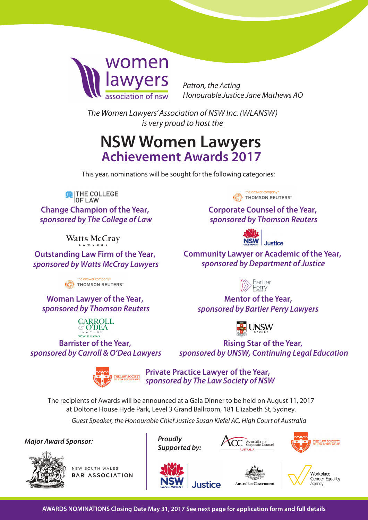

*Patron, the Acting Honourable Justice Jane Mathews AO* 

*The Women Lawyers'Association of NSW Inc. (WLANSW) is very proud to host the* 

# **NSW Women Lawyers Achievement Awards 2017**

This year, nominations will be sought for the following categories:

**DE LAW**<br>OF LAW

**Change Champion of the Year,**  *sponsored by The College of Law*

**Watts McCray** 

**Outstanding Law Firm of the Year,**  *sponsored by Watts McCray Lawyers*

THOMSON REUTERS®

**Woman Lawyer of the Year,**  *sponsored by Thomson Reuters*



**Barrister of the Year,**  *sponsored by Carroll & O'Dea Lawyers*





**Private Practice Lawyer of the Year,** *sponsored by The Law Society of NSW*

**Justice** 

The recipients of Awards will be announced at a Gala Dinner to be held on August 11, 2017 at Doltone House Hyde Park, Level 3 Grand Ballroom, 181 Elizabeth St, Sydney.

*Guest Speaker, the Honourable Chief Justice Susan Kiefel AC, High Court of Australia*

*Major Award Sponsor: Proudly*



NEW SOUTH WALES **BAR ASSOCIATION** 





**Australian Government** 





the answer company™ THOMSON REUTERS®

**Corporate Counsel of the Year,**  *sponsored by Thomson Reuters*



**Community Lawyer or Academic of the Year,** *sponsored by Department of Justice*



**Mentor of the Year,**  *sponsored by Bartier Perry Lawyers*